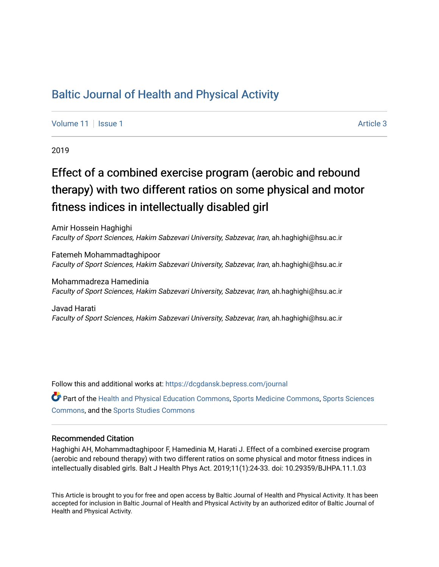## [Baltic Journal of Health and Physical Activity](https://dcgdansk.bepress.com/journal)

[Volume 11](https://dcgdansk.bepress.com/journal/vol11) | [Issue 1](https://dcgdansk.bepress.com/journal/vol11/iss1) Article 3

2019

# Effect of a combined exercise program (aerobic and rebound therapy) with two different ratios on some physical and motor fitness indices in intellectually disabled girl

Amir Hossein Haghighi Faculty of Sport Sciences, Hakim Sabzevari University, Sabzevar, Iran, ah.haghighi@hsu.ac.ir

Fatemeh Mohammadtaghipoor Faculty of Sport Sciences, Hakim Sabzevari University, Sabzevar, Iran, ah.haghighi@hsu.ac.ir

Mohammadreza Hamedinia Faculty of Sport Sciences, Hakim Sabzevari University, Sabzevar, Iran, ah.haghighi@hsu.ac.ir

Javad Harati Faculty of Sport Sciences, Hakim Sabzevari University, Sabzevar, Iran, ah.haghighi@hsu.ac.ir

Follow this and additional works at: [https://dcgdansk.bepress.com/journal](https://dcgdansk.bepress.com/journal?utm_source=dcgdansk.bepress.com%2Fjournal%2Fvol11%2Fiss1%2F3&utm_medium=PDF&utm_campaign=PDFCoverPages)

Part of the [Health and Physical Education Commons](http://network.bepress.com/hgg/discipline/1327?utm_source=dcgdansk.bepress.com%2Fjournal%2Fvol11%2Fiss1%2F3&utm_medium=PDF&utm_campaign=PDFCoverPages), [Sports Medicine Commons,](http://network.bepress.com/hgg/discipline/1331?utm_source=dcgdansk.bepress.com%2Fjournal%2Fvol11%2Fiss1%2F3&utm_medium=PDF&utm_campaign=PDFCoverPages) [Sports Sciences](http://network.bepress.com/hgg/discipline/759?utm_source=dcgdansk.bepress.com%2Fjournal%2Fvol11%2Fiss1%2F3&utm_medium=PDF&utm_campaign=PDFCoverPages) [Commons](http://network.bepress.com/hgg/discipline/759?utm_source=dcgdansk.bepress.com%2Fjournal%2Fvol11%2Fiss1%2F3&utm_medium=PDF&utm_campaign=PDFCoverPages), and the [Sports Studies Commons](http://network.bepress.com/hgg/discipline/1198?utm_source=dcgdansk.bepress.com%2Fjournal%2Fvol11%2Fiss1%2F3&utm_medium=PDF&utm_campaign=PDFCoverPages) 

#### Recommended Citation

Haghighi AH, Mohammadtaghipoor F, Hamedinia M, Harati J. Effect of a combined exercise program (aerobic and rebound therapy) with two different ratios on some physical and motor fitness indices in intellectually disabled girls. Balt J Health Phys Act. 2019;11(1):24-33. doi: 10.29359/BJHPA.11.1.03

This Article is brought to you for free and open access by Baltic Journal of Health and Physical Activity. It has been accepted for inclusion in Baltic Journal of Health and Physical Activity by an authorized editor of Baltic Journal of Health and Physical Activity.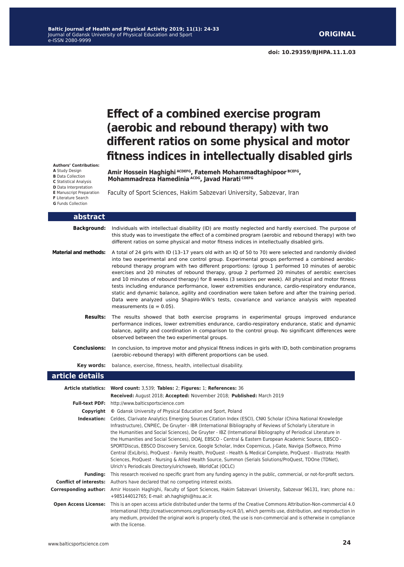## **Effect of a combined exercise program (aerobic and rebound therapy) with two different ratios on some physical and motor fitness indices in intellectually disabled girls**

**Authors' Contribution: A** Study Design **B** Data Collection **C** Statistical Analysis **D** Data Interpretation **E** Manuscript Preparation **F** Literature Search **G** Funds Collection

**Amir Hossein Haghighi ACDEFG, Fatemeh Mohammadtaghipoor BCEFG, Mohammadreza Hamedinia ACDG, Javad Harati CDEFG**

Faculty of Sport Sciences, Hakim Sabzevari University, Sabzevar, Iran

| abstract                     |                                                                                                                                                                                                                                                                                                                                                                                                                                                                                                                                                                                                                                                                                                                                                                                                                                                                                  |
|------------------------------|----------------------------------------------------------------------------------------------------------------------------------------------------------------------------------------------------------------------------------------------------------------------------------------------------------------------------------------------------------------------------------------------------------------------------------------------------------------------------------------------------------------------------------------------------------------------------------------------------------------------------------------------------------------------------------------------------------------------------------------------------------------------------------------------------------------------------------------------------------------------------------|
| <b>Background:</b>           | Individuals with intellectual disability (ID) are mostly neglected and hardly exercised. The purpose of<br>this study was to investigate the effect of a combined program (aerobic and rebound therapy) with two<br>different ratios on some physical and motor fitness indices in intellectually disabled girls.                                                                                                                                                                                                                                                                                                                                                                                                                                                                                                                                                                |
| <b>Material and methods:</b> | A total of 24 girls with ID (13-17 years old with an IQ of 50 to 70) were selected and randomly divided<br>into two experimental and one control group. Experimental groups performed a combined aerobic-<br>rebound therapy program with two different proportions: (group 1 performed 10 minutes of aerobic<br>exercises and 20 minutes of rebound therapy, group 2 performed 20 minutes of aerobic exercises<br>and 10 minutes of rebound therapy) for 8 weeks (3 sessions per week). All physical and motor fitness<br>tests including endurance performance, lower extremities endurance, cardio-respiratory endurance,<br>static and dynamic balance, agility and coordination were taken before and after the training period.<br>Data were analyzed using Shapiro-Wilk's tests, covariance and variance analysis with repeated<br>measurements ( $\alpha = 0.05$ ).      |
| <b>Results:</b>              | The results showed that both exercise programs in experimental groups improved endurance<br>performance indices, lower extremities endurance, cardio-respiratory endurance, static and dynamic<br>balance, agility and coordination in comparison to the control group. No significant differences were<br>observed between the two experimental groups.                                                                                                                                                                                                                                                                                                                                                                                                                                                                                                                         |
| <b>Conclusions:</b>          | In conclusion, to improve motor and physical fitness indices in girls with ID, both combination programs<br>(aerobic-rebound therapy) with different proportions can be used.                                                                                                                                                                                                                                                                                                                                                                                                                                                                                                                                                                                                                                                                                                    |
| Key words:                   | balance, exercise, fitness, health, intellectual disability.                                                                                                                                                                                                                                                                                                                                                                                                                                                                                                                                                                                                                                                                                                                                                                                                                     |
| article details              |                                                                                                                                                                                                                                                                                                                                                                                                                                                                                                                                                                                                                                                                                                                                                                                                                                                                                  |
|                              | Article statistics: Word count: 3,539; Tables: 2; Figures: 1; References: 36<br>Received: August 2018; Accepted: November 2018; Published: March 2019                                                                                                                                                                                                                                                                                                                                                                                                                                                                                                                                                                                                                                                                                                                            |
|                              | Full-text PDF: http://www.balticsportscience.com                                                                                                                                                                                                                                                                                                                                                                                                                                                                                                                                                                                                                                                                                                                                                                                                                                 |
|                              | <b>Copyright</b> © Gdansk University of Physical Education and Sport, Poland                                                                                                                                                                                                                                                                                                                                                                                                                                                                                                                                                                                                                                                                                                                                                                                                     |
|                              | <b>Indexation:</b> Celdes, Clarivate Analytics Emerging Sources Citation Index (ESCI), CNKI Scholar (China National Knowledge<br>Infrastructure), CNPIEC, De Gruyter - IBR (International Bibliography of Reviews of Scholarly Literature in<br>the Humanities and Social Sciences), De Gruyter - IBZ (International Bibliography of Periodical Literature in<br>the Humanities and Social Sciences), DOAJ, EBSCO - Central & Eastern European Academic Source, EBSCO -<br>SPORTDiscus, EBSCO Discovery Service, Google Scholar, Index Copernicus, J-Gate, Naviga (Softweco, Primo<br>Central (ExLibris), ProQuest - Family Health, ProQuest - Health & Medical Complete, ProQuest - Illustrata: Health<br>Sciences, ProQuest - Nursing & Allied Health Source, Summon (Serials Solutions/ProQuest, TDOne (TDNet),<br>Ulrich's Periodicals Directory/ulrichsweb, WorldCat (OCLC) |
|                              | Funding: This research received no specific grant from any funding agency in the public, commercial, or not-for-profit sectors.                                                                                                                                                                                                                                                                                                                                                                                                                                                                                                                                                                                                                                                                                                                                                  |
|                              | <b>Conflict of interests:</b> Authors have declared that no competing interest exists.                                                                                                                                                                                                                                                                                                                                                                                                                                                                                                                                                                                                                                                                                                                                                                                           |
| <b>Corresponding author:</b> | Amir Hossein Haghighi, Faculty of Sport Sciences, Hakim Sabzevari University, Sabzevar 96131, Iran; phone no.:<br>+985144012765; E-mail: ah.haghighi@hsu.ac.ir.                                                                                                                                                                                                                                                                                                                                                                                                                                                                                                                                                                                                                                                                                                                  |
| <b>Open Access License:</b>  | This is an open access article distributed under the terms of the Creative Commons Attribution-Non-commercial 4.0<br>International (http://creativecommons.org/licenses/by-nc/4.0/), which permits use, distribution, and reproduction in<br>any medium, provided the original work is properly cited, the use is non-commercial and is otherwise in compliance<br>with the license.                                                                                                                                                                                                                                                                                                                                                                                                                                                                                             |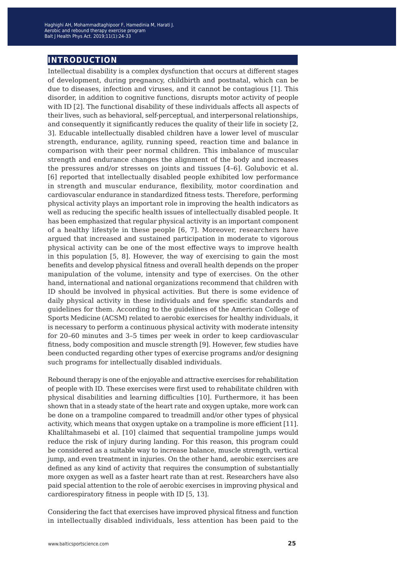### **introduction**

Intellectual disability is a complex dysfunction that occurs at different stages of development, during pregnancy, childbirth and postnatal, which can be due to diseases, infection and viruses, and it cannot be contagious [1]. This disorder, in addition to cognitive functions, disrupts motor activity of people with ID [2]. The functional disability of these individuals affects all aspects of their lives, such as behavioral, self-perceptual, and interpersonal relationships, and consequently it significantly reduces the quality of their life in society [2, 3]. Educable intellectually disabled children have a lower level of muscular strength, endurance, agility, running speed, reaction time and balance in comparison with their peer normal children. This imbalance of muscular strength and endurance changes the alignment of the body and increases the pressures and/or stresses on joints and tissues [4–6]. Golubovic et al. [6] reported that intellectually disabled people exhibited low performance in strength and muscular endurance, flexibility, motor coordination and cardiovascular endurance in standardized fitness tests. Therefore, performing physical activity plays an important role in improving the health indicators as well as reducing the specific health issues of intellectually disabled people. It has been emphasized that regular physical activity is an important component of a healthy lifestyle in these people [6, 7]. Moreover, researchers have argued that increased and sustained participation in moderate to vigorous physical activity can be one of the most effective ways to improve health in this population [5, 8]. However, the way of exercising to gain the most benefits and develop physical fitness and overall health depends on the proper manipulation of the volume, intensity and type of exercises. On the other hand, international and national organizations recommend that children with ID should be involved in physical activities. But there is some evidence of daily physical activity in these individuals and few specific standards and guidelines for them. According to the guidelines of the American College of Sports Medicine (ACSM) related to aerobic exercises for healthy individuals, it is necessary to perform a continuous physical activity with moderate intensity for 20–60 minutes and 3–5 times per week in order to keep cardiovascular fitness, body composition and muscle strength [9]. However, few studies have been conducted regarding other types of exercise programs and/or designing such programs for intellectually disabled individuals.

Rebound therapy is one of the enjoyable and attractive exercises for rehabilitation of people with ID. These exercises were first used to rehabilitate children with physical disabilities and learning difficulties [10]. Furthermore, it has been shown that in a steady state of the heart rate and oxygen uptake, more work can be done on a trampoline compared to treadmill and/or other types of physical activity, which means that oxygen uptake on a trampoline is more efficient [11]. Khaliltahmasebi et al. [10] claimed that sequential trampoline jumps would reduce the risk of injury during landing. For this reason, this program could be considered as a suitable way to increase balance, muscle strength, vertical jump, and even treatment in injuries. On the other hand, aerobic exercises are defined as any kind of activity that requires the consumption of substantially more oxygen as well as a faster heart rate than at rest. Researchers have also paid special attention to the role of aerobic exercises in improving physical and cardiorespiratory fitness in people with ID [5, 13].

Considering the fact that exercises have improved physical fitness and function in intellectually disabled individuals, less attention has been paid to the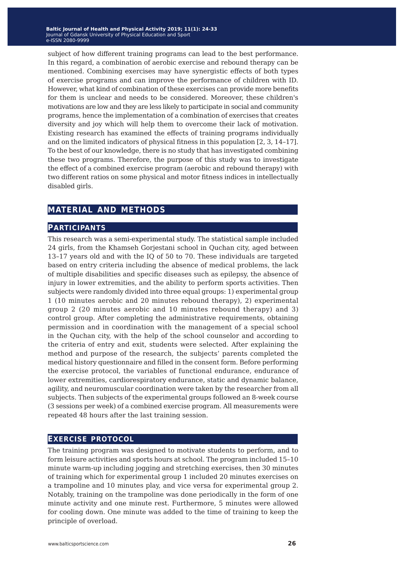subject of how different training programs can lead to the best performance. In this regard, a combination of aerobic exercise and rebound therapy can be mentioned. Combining exercises may have synergistic effects of both types of exercise programs and can improve the performance of children with ID. However, what kind of combination of these exercises can provide more benefits for them is unclear and needs to be considered. Moreover, these children's motivations are low and they are less likely to participate in social and community programs, hence the implementation of a combination of exercises that creates diversity and joy which will help them to overcome their lack of motivation. Existing research has examined the effects of training programs individually and on the limited indicators of physical fitness in this population [2, 3, 14–17]. To the best of our knowledge, there is no study that has investigated combining these two programs. Therefore, the purpose of this study was to investigate the effect of a combined exercise program (aerobic and rebound therapy) with two different ratios on some physical and motor fitness indices in intellectually disabled girls.

### **material and methods**

#### **participants**

This research was a semi-experimental study. The statistical sample included 24 girls, from the Khamseh Gorjestani school in Quchan city, aged between 13–17 years old and with the IQ of 50 to 70. These individuals are targeted based on entry criteria including the absence of medical problems, the lack of multiple disabilities and specific diseases such as epilepsy, the absence of injury in lower extremities, and the ability to perform sports activities. Then subjects were randomly divided into three equal groups: 1) experimental group 1 (10 minutes aerobic and 20 minutes rebound therapy), 2) experimental group 2 (20 minutes aerobic and 10 minutes rebound therapy) and 3) control group. After completing the administrative requirements, obtaining permission and in coordination with the management of a special school in the Quchan city, with the help of the school counselor and according to the criteria of entry and exit, students were selected. After explaining the method and purpose of the research, the subjects' parents completed the medical history questionnaire and filled in the consent form. Before performing the exercise protocol, the variables of functional endurance, endurance of lower extremities, cardiorespiratory endurance, static and dynamic balance, agility, and neuromuscular coordination were taken by the researcher from all subjects. Then subjects of the experimental groups followed an 8-week course (3 sessions per week) of a combined exercise program. All measurements were repeated 48 hours after the last training session.

#### **exercise protocol**

The training program was designed to motivate students to perform, and to form leisure activities and sports hours at school. The program included 15–10 minute warm-up including jogging and stretching exercises, then 30 minutes of training which for experimental group 1 included 20 minutes exercises on a trampoline and 10 minutes play, and vice versa for experimental group 2. Notably, training on the trampoline was done periodically in the form of one minute activity and one minute rest. Furthermore, 5 minutes were allowed for cooling down. One minute was added to the time of training to keep the principle of overload.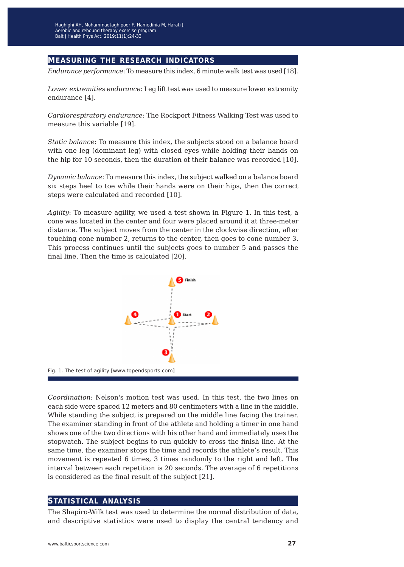### **measuring the research indicators**

*Endurance performance*: To measure this index, 6 minute walk test was used [18].

*Lower extremities endurance*: Leg lift test was used to measure lower extremity endurance [4].

*Cardiorespiratory endurance*: The Rockport Fitness Walking Test was used to measure this variable [19].

*Static balance*: To measure this index, the subjects stood on a balance board with one leg (dominant leg) with closed eyes while holding their hands on the hip for 10 seconds, then the duration of their balance was recorded [10].

*Dynamic balance*: To measure this index, the subject walked on a balance board six steps heel to toe while their hands were on their hips, then the correct steps were calculated and recorded [10].

*Agility*: To measure agility, we used a test shown in Figure 1. In this test, a cone was located in the center and four were placed around it at three-meter distance. The subject moves from the center in the clockwise direction, after touching cone number 2, returns to the center, then goes to cone number 3. This process continues until the subjects goes to number 5 and passes the final line. Then the time is calculated [20].



Fig. 1. The test of agility [www.topendsports.com]

*Coordination*: Nelson's motion test was used. In this test, the two lines on each side were spaced 12 meters and 80 centimeters with a line in the middle. While standing the subject is prepared on the middle line facing the trainer. The examiner standing in front of the athlete and holding a timer in one hand shows one of the two directions with his other hand and immediately uses the stopwatch. The subject begins to run quickly to cross the finish line. At the same time, the examiner stops the time and records the athlete's result. This movement is repeated 6 times, 3 times randomly to the right and left. The interval between each repetition is 20 seconds. The average of 6 repetitions is considered as the final result of the subject [21].

#### **statistical analysis**

The Shapiro-Wilk test was used to determine the normal distribution of data, and descriptive statistics were used to display the central tendency and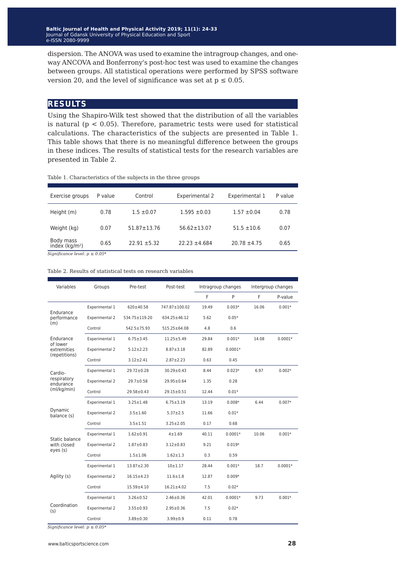**Baltic Journal of Health and Physical Activity 2014; 1(1): 1-4 Baltic Journal of Health and Physical Activity 2019; 11(1): 24-33** Journal of Gdansk University of Physical Education and Sport Journal of Gdansk University of Physical Education and Sport e-ISSN 2080-9999 e-ISSN 2080-9999

dispersion. The ANOVA was used to examine the intragroup changes, and oneway ANCOVA and Bonferrony's post-hoc test was used to examine the changes between groups. All statistical operations were performed by SPSS software version 20, and the level of significance was set at  $p \le 0.05$ .

#### **results**

Using the Shapiro-Wilk test showed that the distribution of all the variables is natural ( $p < 0.05$ ). Therefore, parametric tests were used for statistical calculations. The characteristics of the subjects are presented in Table 1. This table shows that there is no meaningful difference between the groups in these indices. The results of statistical tests for the research variables are presented in Table 2.

Table 1. Characteristics of the subjects in the three groups

| Exercise groups              | P value | Control           | Experimental 2    | Experimental 1   | P value |
|------------------------------|---------|-------------------|-------------------|------------------|---------|
| Height (m)                   | 0.78    | $1.5 \pm 0.07$    | $1.595 \pm 0.03$  | $1.57 \pm 0.04$  | 0.78    |
| Weight (kg)                  | 0.07    | $51.87 \pm 13.76$ | $56.62 \pm 13.07$ | $51.5 \pm 10.6$  | 0.07    |
| Body mass<br>index $(kq/m2)$ | 0.65    | $22.91 + 5.32$    | $22.23 \pm 4.684$ | $20.78 \pm 4.75$ | 0.65    |

*Significance level: p ≤ 0.05\**

#### Table 2. Results of statistical tests on research variables

| Variables                                             | Groups         | Pre-test          | Post-test          | Intragroup changes |           | Intergroup changes |           |
|-------------------------------------------------------|----------------|-------------------|--------------------|--------------------|-----------|--------------------|-----------|
|                                                       |                |                   |                    | F                  | P         | F.                 | P-value   |
| Endurance<br>performance<br>(m)                       | Experimental 1 | $620 \pm 40.58$   | 747.87±100.02      | 19.49              | $0.003*$  | 16.06              | $0.001*$  |
|                                                       | Experimental 2 | 534.75±119.20     | $634.25 \pm 46.12$ | 5.62               | $0.05*$   |                    |           |
|                                                       | Control        | $542.5 \pm 75.93$ | $515.25 \pm 64.08$ | 4.8                | 0.6       |                    |           |
| Endurance<br>of lower<br>extremities<br>(repetitions) | Experimental 1 | $6.75 \pm 3.45$   | $11.25 + 5.49$     | 29.84              | $0.001*$  | 14.08              | $0.0001*$ |
|                                                       | Experimental 2 | $5.12 \pm 2.23$   | $8.87 + 3.18$      | 82.89              | $0.0001*$ |                    |           |
|                                                       | Control        | $3.12 \pm 2.41$   | $2.87 \pm 2.23$    | 0.63               | 0.45      |                    |           |
| Cardio-<br>respiratory<br>endurance<br>(mI/kg/min)    | Experimental 1 | $29.72 \pm 0.28$  | $30.29 \pm 0.43$   | 8.44               | $0.023*$  | 6.97               | $0.002*$  |
|                                                       | Experimental 2 | $29.7 \pm 0.58$   | $29.95 \pm 0.64$   | 1.35               | 0.28      |                    |           |
|                                                       | Control        | 29.58±0.43        | $29.15 \pm 0.51$   | 12.44              | $0.01*$   |                    |           |
| Dynamic<br>balance (s)                                | Experimental 1 | $3.25 \pm 1.48$   | $6.75 \pm 3.19$    | 13.19              | $0.008*$  | 6.44               | $0.007*$  |
|                                                       | Experimental 2 | $3.5 \pm 1.60$    | $5.37 \pm 2.5$     | 11.66              | $0.01*$   |                    |           |
|                                                       | Control        | $3.5 + 1.51$      | $3.25 \pm 2.05$    | 0.17               | 0.68      |                    |           |
| Static balance<br>with closed<br>eyes (s)             | Experimental 1 | $1.62 \pm 0.91$   | $4 + 1.69$         | 40.11              | $0.0001*$ | 10.06              | $0.001*$  |
|                                                       | Experimental 2 | $1.87 + 0.83$     | $3.12 \pm 0.83$    | 9.21               | $0.019*$  |                    |           |
|                                                       | Control        | $1.5 + 1.06$      | $1.62 \pm 1.3$     | 0.3                | 0.59      |                    |           |
| Agility (s)                                           | Experimental 1 | $13.87 + 2.30$    | $10 + 1.17$        | 28.44              | $0.001*$  | 18.7               | $0.0001*$ |
|                                                       | Experimental 2 | $16.15 \pm 4.23$  | $11.6 \pm 1.8$     | 12.87              | $0.009*$  |                    |           |
|                                                       | Control        | 15.59±4.10        | $16.21 \pm 4.02$   | 7.5                | $0.02*$   |                    |           |
| Coordination<br>(s)                                   | Experimental 1 | $3.26 \pm 0.52$   | $2.46 \pm 0.36$    | 42.01              | $0.0001*$ | 9.73               | $0.001*$  |
|                                                       | Experimental 2 | $3.55 \pm 0.93$   | $2.95 \pm 0.36$    | 7.5                | $0.02*$   |                    |           |
|                                                       | Control        | $3.89 + 0.30$     | $3.99 \pm 0.9$     | 0.11               | 0.78      |                    |           |

*Significance level: p ≤ 0.05\**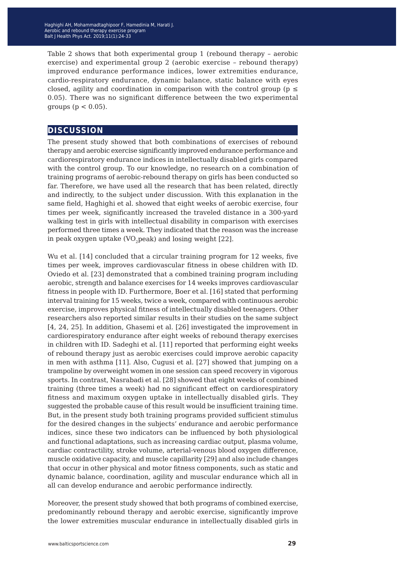Table 2 shows that both experimental group 1 (rebound therapy – aerobic exercise) and experimental group 2 (aerobic exercise – rebound therapy) improved endurance performance indices, lower extremities endurance, cardio-respiratory endurance, dynamic balance, static balance with eyes closed, agility and coordination in comparison with the control group ( $p \leq$ 0.05). There was no significant difference between the two experimental groups ( $p < 0.05$ ).

#### **discussion**

The present study showed that both combinations of exercises of rebound therapy and aerobic exercise significantly improved endurance performance and cardiorespiratory endurance indices in intellectually disabled girls compared with the control group. To our knowledge, no research on a combination of training programs of aerobic-rebound therapy on girls has been conducted so far. Therefore, we have used all the research that has been related, directly and indirectly, to the subject under discussion. With this explanation in the same field, Haghighi et al. showed that eight weeks of aerobic exercise, four times per week, significantly increased the traveled distance in a 300-yard walking test in girls with intellectual disability in comparison with exercises performed three times a week. They indicated that the reason was the increase in peak oxygen uptake  $(VO_p)$  peak) and losing weight  $[22]$ .

Wu et al. [14] concluded that a circular training program for 12 weeks, five times per week, improves cardiovascular fitness in obese children with ID. Oviedo et al. [23] demonstrated that a combined training program including aerobic, strength and balance exercises for 14 weeks improves cardiovascular fitness in people with ID. Furthermore, Boer et al. [16] stated that performing interval training for 15 weeks, twice a week, compared with continuous aerobic exercise, improves physical fitness of intellectually disabled teenagers. Other researchers also reported similar results in their studies on the same subject [4, 24, 25]. In addition, Ghasemi et al. [26] investigated the improvement in cardiorespiratory endurance after eight weeks of rebound therapy exercises in children with ID. Sadeghi et al. [11] reported that performing eight weeks of rebound therapy just as aerobic exercises could improve aerobic capacity in men with asthma [11]. Also, Cugusi et al. [27] showed that jumping on a trampoline by overweight women in one session can speed recovery in vigorous sports. In contrast, Nasrabadi et al. [28] showed that eight weeks of combined training (three times a week) had no significant effect on cardiorespiratory fitness and maximum oxygen uptake in intellectually disabled girls. They suggested the probable cause of this result would be insufficient training time. But, in the present study both training programs provided sufficient stimulus for the desired changes in the subjects' endurance and aerobic performance indices, since these two indicators can be influenced by both physiological and functional adaptations, such as increasing cardiac output, plasma volume, cardiac contractility, stroke volume, arterial-venous blood oxygen difference, muscle oxidative capacity, and muscle capillarity [29] and also include changes that occur in other physical and motor fitness components, such as static and dynamic balance, coordination, agility and muscular endurance which all in all can develop endurance and aerobic performance indirectly.

Moreover, the present study showed that both programs of combined exercise, predominantly rebound therapy and aerobic exercise, significantly improve the lower extremities muscular endurance in intellectually disabled girls in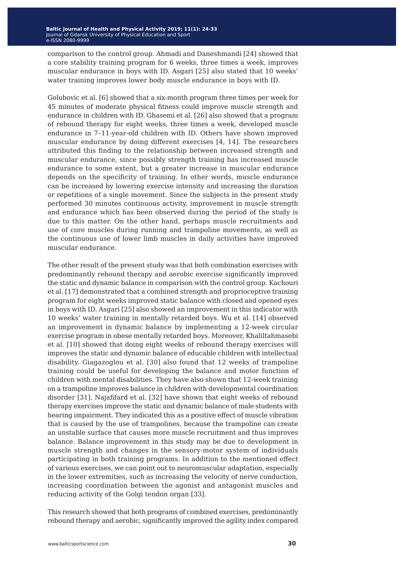comparison to the control group. Ahmadi and Daneshmandi [24] showed that a core stability training program for 6 weeks, three times a week, improves muscular endurance in boys with ID. Asgari [25] also stated that 10 weeks' water training improves lower body muscle endurance in boys with ID.

Golubovic et al. [6] showed that a six-month program three times per week for 45 minutes of moderate physical fitness could improve muscle strength and endurance in children with ID. Ghasemi et al. [26] also showed that a program of rebound therapy for eight weeks, three times a week, developed muscle endurance in 7–11-year-old children with ID. Others have shown improved muscular endurance by doing different exercises [4, 14]. The researchers attributed this finding to the relationship between increased strength and muscular endurance, since possibly strength training has increased muscle endurance to some extent, but a greater increase in muscular endurance depends on the specificity of training. In other words, muscle endurance can be increased by lowering exercise intensity and increasing the duration or repetitions of a single movement. Since the subjects in the present study performed 30 minutes continuous activity, improvement in muscle strength and endurance which has been observed during the period of the study is due to this matter. On the other hand, perhaps muscle recruitments and use of core muscles during running and trampoline movements, as well as the continuous use of lower limb muscles in daily activities have improved muscular endurance.

The other result of the present study was that both combination exercises with predominantly rebound therapy and aerobic exercise significantly improved the static and dynamic balance in comparison with the control group. Kachouri et al. [17] demonstrated that a combined strength and proprioceptive training program for eight weeks improved static balance with closed and opened eyes in boys with ID. Asgari [25] also showed an improvement in this indicator with 10 weeks' water training in mentally retarded boys. Wu et al. [14] observed an improvement in dynamic balance by implementing a 12-week circular exercise program in obese mentally retarded boys. Moreover, Khaliltahmasebi et al. [10] showed that doing eight weeks of rebound therapy exercises will improves the static and dynamic balance of educable children with intellectual disability. Giagazoglou et al. [30] also found that 12 weeks of trampoline training could be useful for developing the balance and motor function of children with mental disabilities. They have also shown that 12-week training on a trampoline improves balance in children with developmental coordination disorder [31]. Najafifard et al. [32] have shown that eight weeks of rebound therapy exercises improve the static and dynamic balance of male students with hearing impairment. They indicated this as a positive effect of muscle vibration that is caused by the use of trampolines, because the trampoline can create an unstable surface that causes more muscle recruitment and thus improves balance. Balance improvement in this study may be due to development in muscle strength and changes in the sensory-motor system of individuals participating in both training programs. In addition to the mentioned effect of various exercises, we can point out to neuromuscular adaptation, especially in the lower extremities, such as increasing the velocity of nerve conduction, increasing coordination between the agonist and antagonist muscles and reducing activity of the Golgi tendon organ [33].

This research showed that both programs of combined exercises, predominantly rebound therapy and aerobic, significantly improved the agility index compared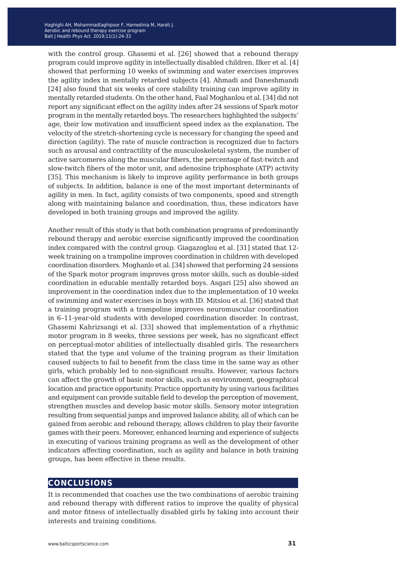with the control group. Ghasemi et al. [26] showed that a rebound therapy program could improve agility in intellectually disabled children. Ilker et al. [4] showed that performing 10 weeks of swimming and water exercises improves the agility index in mentally retarded subjects [4]. Ahmadi and Daneshmandi [24] also found that six weeks of core stability training can improve agility in mentally retarded students. On the other hand, Faal Moghanlou et al. [34] did not report any significant effect on the agility index after 24 sessions of Spark motor program in the mentally retarded boys. The researchers highlighted the subjects' age, their low motivation and insufficient speed index as the explanation. The velocity of the stretch-shortening cycle is necessary for changing the speed and direction (agility). The rate of muscle contraction is recognized due to factors such as arousal and contractility of the musculoskeletal system, the number of active sarcomeres along the muscular fibers, the percentage of fast-twitch and slow-twitch fibers of the motor unit, and adenosine triphosphate (ATP) activity [35]. This mechanism is likely to improve agility performance in both groups of subjects. In addition, balance is one of the most important determinants of agility in men. In fact, agility consists of two components, speed and strength along with maintaining balance and coordination, thus, these indicators have developed in both training groups and improved the agility.

Another result of this study is that both combination programs of predominantly rebound therapy and aerobic exercise significantly improved the coordination index compared with the control group. Giagazoglou et al. [31] stated that 12 week training on a trampoline improves coordination in children with developed coordination disorders. Moghanlo et al. [34] showed that performing 24 sessions of the Spark motor program improves gross motor skills, such as double-sided coordination in educable mentally retarded boys. Asgari [25] also showed an improvement in the coordination index due to the implementation of 10 weeks of swimming and water exercises in boys with ID. Mitsiou et al. [36] stated that a training program with a trampoline improves neuromuscular coordination in 6–11-year-old students with developed coordination disorder. In contrast, Ghasemi Kahrizsangi et al. [33] showed that implementation of a rhythmic motor program in 8 weeks, three sessions per week, has no significant effect on perceptual-motor abilities of intellectually disabled girls. The researchers stated that the type and volume of the training program as their limitation caused subjects to fail to benefit from the class time in the same way as other girls, which probably led to non-significant results. However, various factors can affect the growth of basic motor skills, such as environment, geographical location and practice opportunity. Practice opportunity by using various facilities and equipment can provide suitable field to develop the perception of movement, strengthen muscles and develop basic motor skills. Sensory motor integration resulting from sequential jumps and improved balance ability, all of which can be gained from aerobic and rebound therapy, allows children to play their favorite games with their peers. Moreover, enhanced learning and experience of subjects in executing of various training programs as well as the development of other indicators affecting coordination, such as agility and balance in both training groups, has been effective in these results.

#### **conclusions**

It is recommended that coaches use the two combinations of aerobic training and rebound therapy with different ratios to improve the quality of physical and motor fitness of intellectually disabled girls by taking into account their interests and training conditions.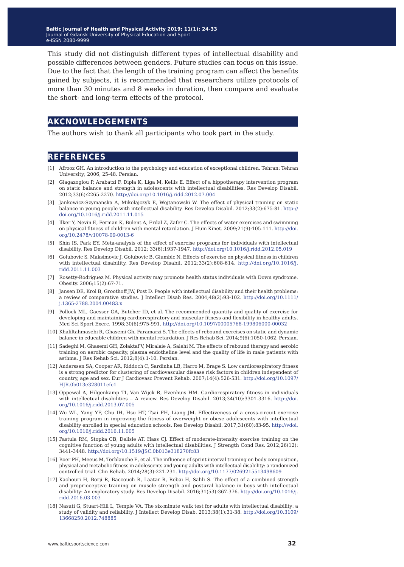This study did not distinguish different types of intellectual disability and possible differences between genders. Future studies can focus on this issue. Due to the fact that the length of the training program can affect the benefits gained by subjects, it is recommended that researchers utilize protocols of more than 30 minutes and 8 weeks in duration, then compare and evaluate the short- and long-term effects of the protocol.

#### **akcnowledgements**

The authors wish to thank all participants who took part in the study.

#### **references**

- [1] Afrooz GH. An introduction to the psychology and education of exceptional children. Tehran: Tehran University; 2006, 25-48. Persian.
- [2] Giagazoglou P, Arabatzi F, Dipla K, Liga M, Kellis E. Effect of a hippotherapy intervention program on static balance and strength in adolescents with intellectual disabilities. Res Develop Disabil. 2012;33(6):2265-2270. <http://doi.org/10.1016/j.ridd.2012.07.004>
- [3] Jankowicz-Szymanska A, Mikolajczyk E, Wojtanowski W. The effect of physical training on static balance in young people with intellectual disability. Res Develop Disabil. 2012;33(2):675-81. [http://](http://doi.org/10.1016/j.ridd.2011.11.015) [doi.org/10.1016/j.ridd.2011.11.015](http://doi.org/10.1016/j.ridd.2011.11.015)
- [4] Ilker Y, Nevin E, Ferman K, Bulent A, Erdal Z, Zafer C. The effects of water exercises and swimming on physical fitness of children with mental retardation. J Hum Kinet. 2009;21(9):105-111. [http://doi.](http://doi.org/10.2478/v10078-09-0013-6) [org/10.2478/v10078-09-0013-6](http://doi.org/10.2478/v10078-09-0013-6)
- [5] Shin IS, Park EY. Meta-analysis of the effect of exercise programs for individuals with intellectual disability. Res Develop Disabil. 2012; 33(6):1937-1947.<http://doi.org/10.1016/j.ridd.2012.05.019>
- [6] Golubovic S, Maksimovic J, Golubovic B, Glumbic N. Effects of exercise on physical fitness in children with intellectual disability. Res Develop Disabil. 2012;33(2):608-614. [http://doi.org/10.1016/j.](http://doi.org/10.1016/j.ridd.2011.11.003) [ridd.2011.11.003](http://doi.org/10.1016/j.ridd.2011.11.003)
- [7] Rosetty-Rodriguez M. Physical activity may promote health status individuals with Down syndrome. Obesity. 2006;15(2):67-71.
- [8] Jansen DE, Krol B, Groothoff JW, Post D. People with intellectual disability and their health problems: a review of comparative studies. J Intellect Disab Res. 2004;48(2):93-102. [http://doi.org/10.1111/](http://doi.org/10.1111/j.1365-2788.2004.00483.x) [j.1365-2788.2004.00483.x](http://doi.org/10.1111/j.1365-2788.2004.00483.x)
- [9] Pollock ML, Gaesser GA, Butcher ID, et al. The recommended quantity and quality of exercise for developing and maintaining cardiorespiratory and muscular fitness and flexibility in healthy adults. Med Sci Sport Exerc. 1998;30(6):975-991. <http://doi.org/10.1097/00005768-199806000-00032>
- [10] Khaliltahmasebi R, Ghasemi Gh, Faramarzi S. The effects of rebound exercises on static and dynamic balance in educable children with mental retardation. J Res Rehab Sci. 2014;9(6):1050-1062. Persian.
- [11] Sadeghi M, Ghasemi GH, Zolaktaf V, Miralaie A, Salehi M. The effects of rebound therapy and aerobic training on aerobic capacity, plasma endotheline level and the quality of life in male patients with asthma. J Res Rehab Sci. 2012;8(4):1-10. Persian.
- [12] Anderssen SA, Cooper AR, Riddoch C, Sardinha LB, Harro M, Brage S. Low cardiorespiratory fitness is a strong predictor for clustering of cardiovascular disease risk factors in children independent of country, age and sex. Eur J Cardiovasc Prevent Rehab. 2007;14(4):526-531. [http://doi.org/10.1097/](http://doi.org/10.1097/HJR.0b013e328011efc1) [HJR.0b013e328011efc1](http://doi.org/10.1097/HJR.0b013e328011efc1)
- [13] Oppewal A, Hilgenkamp TI, Van Wijck R, Evenhuis HM. Cardiorespiratory fitness in individuals with intellectual disabilities - A review. Res Develop Disabil. 2013;34(10):3301-3316. [http://doi.](http://doi.org/10.1016/j.ridd.2013.07.005) [org/10.1016/j.ridd.2013.07.005](http://doi.org/10.1016/j.ridd.2013.07.005)
- [14] Wu WL, Yang YF, Chu IH, Hsu HT, Tsai FH, Liang JM. Effectiveness of a cross-circuit exercise training program in improving the fitness of overweight or obese adolescents with intellectual disability enrolled in special education schools. Res Develop Disabil. 2017;31(60):83-95. [http://vdoi.](http://vdoi.org/10.1016/j.ridd.2016.11.005) [org/10.1016/j.ridd.2016.11.005](http://vdoi.org/10.1016/j.ridd.2016.11.005)
- [15] Pastula RM, Stopka CB, Delisle AT, Hass CJ. Effect of moderate-intensity exercise training on the cognitive function of young adults with intellectual disabilities. J Strength Cond Res. 2012;26(12): 3441-3448. <http://doi.org/10.1519/JSC.0b013e318270fc83>
- [16] Boer PH, Meeus M, Terblanche E, et al. The influence of sprint interval training on body composition, physical and metabolic fitness in adolescents and young adults with intellectual disability: a randomized controlled trial. Clin Rehab. 2014;28(3):221-231.<http://doi.org/10.1177/0269215513498609>
- [17] Kachouri H, Borji R, Baccouch R, Laatar R, Rebai H, Sahli S. The effect of a combined strength and proprioceptive training on muscle strength and postural balance in boys with intellectual disability: An exploratory study. Res Develop Disabil. 2016;31(53):367-376. [http://doi.org/10.1016/j.](http://doi.org/10.1016/j.ridd.2016.03.003) [ridd.2016.03.003](http://doi.org/10.1016/j.ridd.2016.03.003)
- [18] Nasuti G, Stuart-Hill L, Temple VA. The six-minute walk test for adults with intellectual disability: a study of validity and rel[ia](http://doi.org/10.3109/13668250.2012.748885)bility. J Intellect Develop Disab. 2013;38(1):31-38. [http://doi.org/10.3109/](http://doi.org/10.3109/13668250.2012.748885) [13668250.2012.748885](http://doi.org/10.3109/13668250.2012.748885)